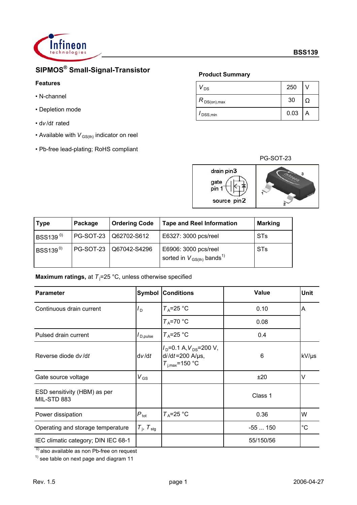

# **SIPMOS® Small-Signal-Transistor**

# **Features**

- N-channel
- Depletion mode
- d*v* /d*t* rated
- Available with  $V_{GS(th)}$  indicator on reel
- Pb-free lead-plating; RoHS compliant

## **Product Summary**

| $V_{DS}$                                       | 250  |    |
|------------------------------------------------|------|----|
| $R_{\,\mathsf{DS}( \mathsf{on}),\mathsf{max}}$ | 30   | 75 |
| I DSS, min                                     | 0.03 | A  |

# PG-SOT-23



| Type                 | Package | <b>Ordering Code</b>     | <b>Tape and Reel Information</b>                                   | <b>Marking</b> |
|----------------------|---------|--------------------------|--------------------------------------------------------------------|----------------|
| BSS139 <sup>0)</sup> |         | PG-SOT-23 Q62702-S612    | E6327: 3000 pcs/reel                                               | <b>STs</b>     |
| BSS139 <sup>0)</sup> |         | PG-SOT-23   Q67042-S4296 | E6906: 3000 pcs/reel<br>sorted in $V_{GS(th)}$ bands <sup>1)</sup> | <b>STs</b>     |

**Maximum ratings,** at T<sub>j</sub>=25 °C, unless otherwise specified

| <b>Parameter</b>                                             |                             | <b>Symbol Conditions</b>                                                                      | <b>Value</b> | <b>Unit</b> |
|--------------------------------------------------------------|-----------------------------|-----------------------------------------------------------------------------------------------|--------------|-------------|
| Continuous drain current                                     | $I_{\text{D}}$              | $T_A = 25$ °C                                                                                 | 0.10         | A           |
|                                                              |                             | $T_A = 70$ °C                                                                                 | 0.08         |             |
| Pulsed drain current                                         | I <sub>D,pulse</sub>        | $T_A = 25$ °C                                                                                 | 0.4          |             |
| Reverse diode dv/dt                                          | dv/dt                       | $I_{\rm D}$ =0.1 A, $V_{\rm DS}$ =200 V,<br>$di/dt = 200$ A/ $\mu$ s,<br>$T_{j, max}$ =150 °C | 6            | kV/µs       |
| Gate source voltage                                          | $V_{GS}$                    |                                                                                               | ±20          | V           |
| ESD sensitivity (HBM) as per<br>MIL-STD 883                  |                             |                                                                                               | Class 1      |             |
| Power dissipation                                            | $P_{\rm tot}$               | $T_A = 25$ °C                                                                                 | 0.36         | W           |
| Operating and storage temperature                            | $T_{\rm j}$ , $T_{\rm stg}$ |                                                                                               | $-55150$     | $^{\circ}C$ |
| IEC climatic category; DIN IEC 68-1<br>$\omega$ . $\omega$ . |                             |                                                                                               | 55/150/56    |             |

 $^{0)}$  also available as non Pb-free on request

 $<sup>1</sup>$  see table on next page and diagram 11</sup>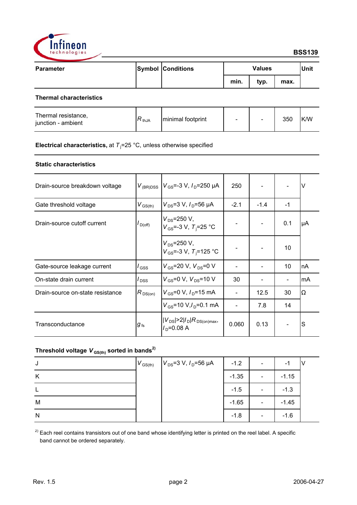

|  | <b>Thermal characteristics</b> |
|--|--------------------------------|
|--|--------------------------------|

| Thermal resistance,<br>junction - ambient | $\mathrel{\mathsf{F}}$ thJA | minimal footprint | $\sim$ | $\overline{\phantom{0}}$ | 350 | K/W |
|-------------------------------------------|-----------------------------|-------------------|--------|--------------------------|-----|-----|
|-------------------------------------------|-----------------------------|-------------------|--------|--------------------------|-----|-----|

**Electrical characteristics,** at T<sub>j</sub>=25 °C, unless otherwise specified

# **Static characteristics**

| Drain-source breakdown voltage   | $V_{(BR)DSS}$       | $V_{\rm GS}$ =-3 V, $I_{\rm D}$ =250 µA                             | 250    |        |      | V  |
|----------------------------------|---------------------|---------------------------------------------------------------------|--------|--------|------|----|
| Gate threshold voltage           | $V_{\text{GS(th)}}$ | $V_{DS}$ =3 V, $I_{D}$ =56 µA                                       | $-2.1$ | $-1.4$ | $-1$ |    |
| Drain-source cutoff current      | $I_{\text{D(off)}}$ | $V_{DS}$ =250 V,<br>$V_{GS}$ =-3 V, T <sub>i</sub> =25 °C           |        |        | 0.1  | μA |
|                                  |                     | $V_{DS}$ =250 V,<br>$V_{GS}$ =-3 V, T <sub>i</sub> =125 °C          |        |        | 10   |    |
| Gate-source leakage current      | $I_{\rm GSS}$       | $V_{GS}$ =20 V, $V_{DS}$ =0 V                                       |        |        | 10   | nA |
| On-state drain current           | l <sub>dss</sub>    | $V_{GS}$ =0 V, $V_{DS}$ =10 V                                       | 30     |        |      | mA |
| Drain-source on-state resistance | $R_{DS(on)}$        | $V_{\rm GS} = 0 \text{ V}$ , $I_{\rm D} = 15 \text{ mA}$            |        | 12.5   | 30   | Ω  |
|                                  |                     | $V_{GS}$ =10 V, $I_{D}$ =0.1 mA                                     |        | 7.8    | 14   |    |
| Transconductance                 | $g_{\,\rm fs}$      | $ V_{DS}  > 2 I_D R_{DS(on)max}$<br>$I_{\text{D}} = 0.08 \text{ A}$ | 0.060  | 0.13   |      | S  |

# Threshold voltage  $V_{GS(th)}$  sorted in bands<sup>2)</sup>

| J | $V_{\text{GS(th)}}$ | $V_{DS}$ =3 V, $I_{D}$ =56 µA | $-1.2$  | -               | -       |  |
|---|---------------------|-------------------------------|---------|-----------------|---------|--|
| Κ |                     |                               | $-1.35$ | $\qquad \qquad$ | $-1.15$ |  |
|   |                     |                               | $-1.5$  | -               | $-1.3$  |  |
| M |                     |                               | $-1.65$ | -               | $-1.45$ |  |
| N |                     |                               | $-1.8$  | -               | $-1.6$  |  |

 $2)$  Each reel contains transistors out of one band whose identifying letter is printed on the reel label. A specific band cannot be ordered separately.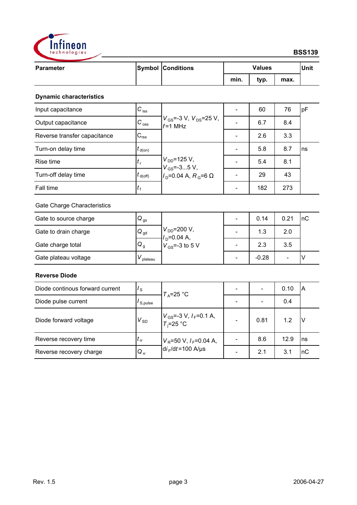

**BSS139**

| <b>Parameter</b> | <b>Symbol Conditions</b> | <b>Values</b> |      |      | Unit |
|------------------|--------------------------|---------------|------|------|------|
|                  |                          | min.          | typ. | max. |      |

# **Dynamic characteristics**

| Input capacitance            | $C_{\text{iss}}$            | $V_{\text{GS}}$ =-3 V, $V_{\text{DS}}$ =25 V,<br>$f=1$ MHz | 60  | 76  | pF  |
|------------------------------|-----------------------------|------------------------------------------------------------|-----|-----|-----|
| Output capacitance           | $C_{\rm \,oss}$             |                                                            | 6.7 | 8.4 |     |
| Reverse transfer capacitance | $\mathsf{C}_{\mathsf{rss}}$ |                                                            | 2.6 | 3.3 |     |
| Turn-on delay time           | $t_{\text{d}(on)}$          |                                                            | 5.8 | 8.7 | Ins |
| Rise time                    | $l_{\rm r}$                 | $V_{DD}$ =125 V,<br>$V_{GS}$ =-35 V,                       | 5.4 | 8.1 |     |
| Turn-off delay time          | $t_{\text{d(off)}}$         | $ID=0.04$ A, $RG=6$ $\Omega$                               | 29  | 43  |     |
| Fall time                    | $t_{\rm f}$                 |                                                            | 182 | 273 |     |

# Gate Charge Characteristics

| Gate to source charge | $\mathsf{Q}_{\,\mathrm{gs}}$ |                                      | 0.14    | 0.21 | nC |
|-----------------------|------------------------------|--------------------------------------|---------|------|----|
| Gate to drain charge  | $Q_{\text{gd}}$              | $V_{DD}$ =200 V,<br>$V_{D}$ =0.04 A, | 1.3     | 2.0  |    |
| Gate charge total     | Q <sub>g</sub>               | $V_{\text{GS}}$ =-3 to 5 V           | 2.3     | 3.5  |    |
| Gate plateau voltage  | plateau                      |                                      | $-0.28$ |      |    |

# **Reverse Diode**

| Diode continous forward current | $\mathsf{I}_\mathsf{S}$    | $T_A = 25$ °C                                 |                              | 0.10 | ΙA  |
|---------------------------------|----------------------------|-----------------------------------------------|------------------------------|------|-----|
| Diode pulse current             | I S,pulse                  |                                               | $\qquad \qquad \blacksquare$ | 0.4  |     |
| Diode forward voltage           | $V_{SD}$                   | $V_{GS}$ =-3 V, $I_F$ =0.1 A,<br>$T_i$ =25 °C | 0.81                         | 1.2  | ΙV  |
| Reverse recovery time           | $l_{\text{rr}}$            | $V_R$ =50 V, $I_F$ =0.04 A,                   | 8.6                          | 12.9 | Ins |
| Reverse recovery charge         | $\mathsf{Q}_{\,\text{rr}}$ | $di$ <sub>F</sub> /dt=100 A/us                | 2.1                          | 3.1  | InC |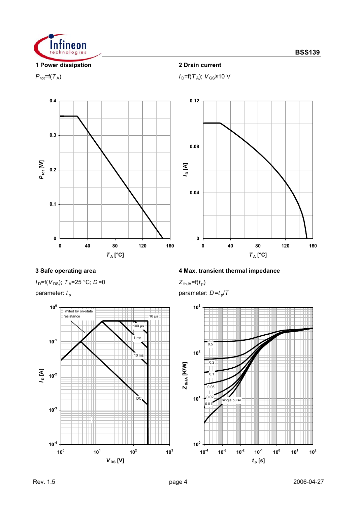



 $P_{\text{tot}} = f(T_A)$  *I*<sub>D</sub>=f(*T<sub>A</sub>*); *V*<sub>GS</sub>≥10 V



 $I_D = f(V_{DS})$ ;  $T_A = 25$  °C;  $D = 0$  *Z* thJA= $f(t_p)$ 



# **3 Safe operating area 4 Max. transient thermal impedance**

parameter:  $t_p$  parameter:  $D = t_p/T$ 

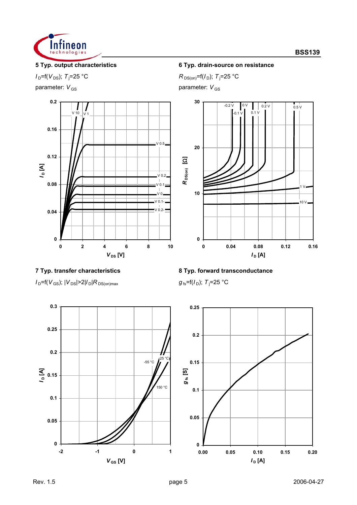

 $I_{D}$ =f( $V_{DS}$ );  $T_{i}$ =25 °C

parameter:  $V_{\text{GS}}$  parameter:  $V_{\text{GS}}$ 



# **5 Typ. output characteristics 6 Typ. drain-source on resistance**

 $R_{DS(on)} = f(I_D); T_i = 25 °C$ 



 $I_D$ =f( $V_{GS}$ );  $|V_{DS}|$ >2| $I_D$ | $R_{DS(on)max}$ 

**7 Typ. transfer characteristics 8 Typ. forward transconductance**

 $g_{fs}$ =f( $I_D$ ); T<sub>j</sub>=25 °C



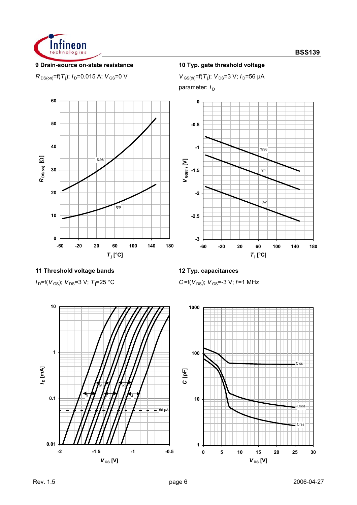

# **9 Drain-source on-state resistance 10 Typ. gate threshold voltage**

 $R_{DS(on)}$ =f(*T*<sub>j</sub>); *I*<sub>D</sub>=0.015 A; *V*<sub>GS</sub>=0 V *V*<sub>GS(th)</sub>=f(*T*<sub>j</sub>

 $V_{\text{GS(th)}}$ =f(T<sub>j</sub>);  $V_{\text{DS}}$ =3 V;  $I_{\text{D}}$ =56 µA

parameter:  $I_D$ 





# **11 Threshold voltage bands 12 Typ. capacitances**

 $I_{\text{D}}$ =f( $V_{\text{GS}}$ );  $V_{\text{DS}}$ =3 V;  $T_{\text{j}}$ =25 °C

 $C = f(V_{DS})$ ;  $V_{GS} = -3$  V;  $f = 1$  MHz

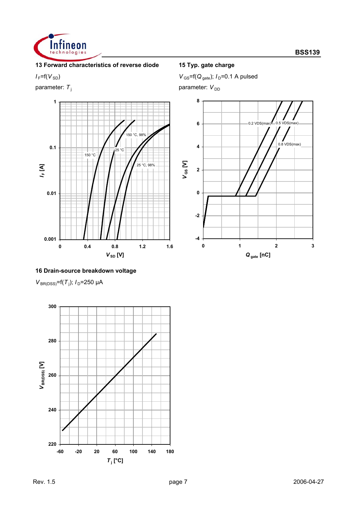

# **13 Forward characteristics of reverse diode 15 Typ. gate charge**



 $V_{\text{GS}} = f(Q_{\text{gate}}); I_{\text{D}} = 0.1 \text{ A pulsed}$ 

parameter:  $T_j$  parameter:  $V_{DD}$ 



# **16 Drain-source breakdown voltage**

*V*<sub>BR(DSS)</sub>=f(*T*<sub>j</sub>); *I*<sub>D</sub>=250 µA

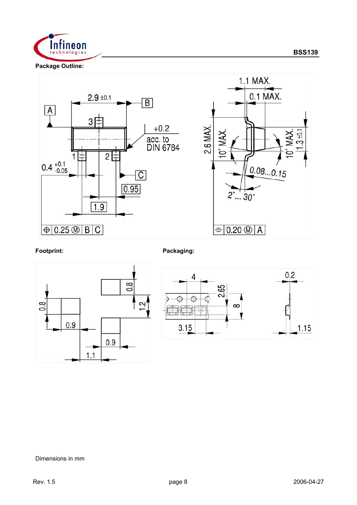

# **Package Outline:**



Footprint: **Packaging:** 





### Dimensions in mm